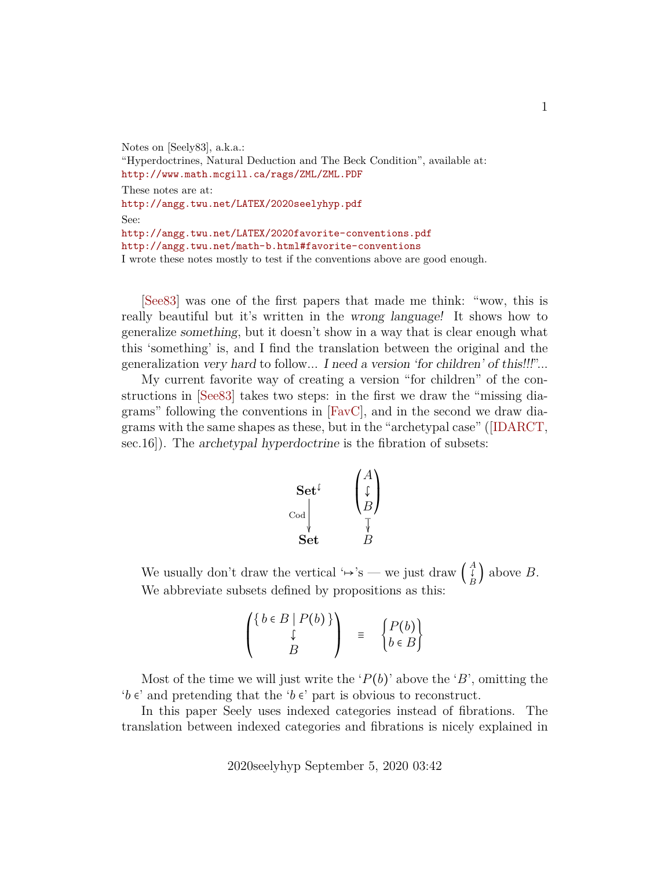Notes on [Seely83], a.k.a.: "Hyperdoctrines, Natural Deduction and The Beck Condition", available at: <http://www.math.mcgill.ca/rags/ZML/ZML.PDF> These notes are at: <http://angg.twu.net/LATEX/2020seelyhyp.pdf> See: <http://angg.twu.net/LATEX/2020favorite-conventions.pdf> <http://angg.twu.net/math-b.html#favorite-conventions> I wrote these notes mostly to test if the conventions above are good enough.

[\[See83\]](#page-21-0) was one of the first papers that made me think: "wow, this is really beautiful but it's written in the wrong language! It shows how to generalize something, but it doesn't show in a way that is clear enough what this 'something' is, and I find the translation between the original and the generalization very hard to follow... I need a version 'for children' of this!!!"...

My current favorite way of creating a version "for children" of the constructions in [\[See83\]](#page-21-0) takes two steps: in the first we draw the "missing diagrams" following the conventions in [\[FavC\]](#page-21-1), and in the second we draw diagrams with the same shapes as these, but in the "archetypal case"([\[IDARCT,](#page-21-2) sec.16]). The archetypal hyperdoctrine is the fibration of subsets:

$$
\begin{matrix}\n\textbf{Set}^{\mathfrak{c}} \\
\textbf{Set} \\
\textbf{Set}\n\end{matrix}\n\qquad\n\begin{pmatrix}\nA \\
\downarrow \\
B\n\end{pmatrix}
$$

We usually don't draw the vertical ' $\mapsto$ 's — we just draw  $\begin{pmatrix} A \\ B \end{pmatrix}$  $\left(\begin{matrix} 1 \\ B \end{matrix}\right)$  above  $B$ . We abbreviate subsets defined by propositions as this:

$$
\begin{pmatrix}\n\left\{\begin{array}{c}\nb \in B \mid P(b)\n\end{array}\right\} \\
\downarrow \\
B\n\end{pmatrix} = \begin{pmatrix}\nP(b) \\
b \in B\n\end{pmatrix}
$$

Most of the time we will just write the ' $P(b)$ ' above the 'B', omitting the  $b \in \mathcal{b}$  and pretending that the  $b \in \mathcal{b}$  part is obvious to reconstruct.

In this paper Seely uses indexed categories instead of fibrations. The translation between indexed categories and fibrations is nicely explained in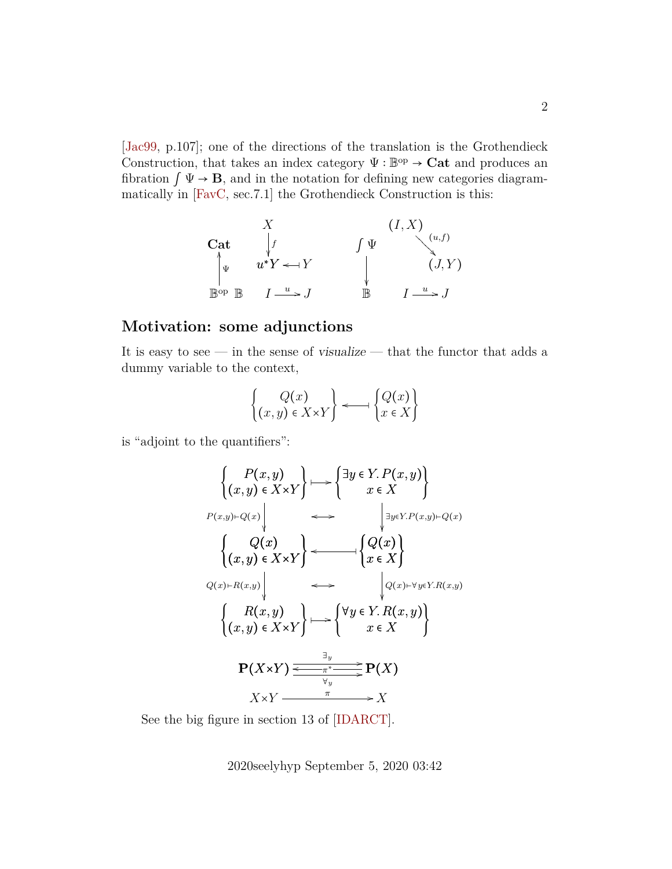[\[Jac99,](#page-21-3) p.107]; one of the directions of the translation is the Grothendieck Construction, that takes an index category  $\Psi : \mathbb{B}^{\text{op}} \to \mathbf{Cat}$  and produces an fibration  $\int \Psi \to \mathbf{B}$ , and in the notation for defining new categories diagrammatically in [\[FavC,](#page-21-1) sec.7.1] the Grothendieck Construction is this:

| $X$               | $(I, X)$              |              |                       |
|-------------------|-----------------------|--------------|-----------------------|
| Cat               | $\downarrow f$        | $\int \Psi$  | $(u, f)$              |
| $\downarrow \psi$ | $u^*Y \leftarrow Y$   | $\downarrow$ | $(J, Y)$              |
| Bop B             | $I \xrightarrow{u} J$ | B            | $I \xrightarrow{u} J$ |

#### **Motivation: some adjunctions**

It is easy to see — in the sense of visualize — that the functor that adds a dummy variable to the context,

$$
\begin{Bmatrix}\nQ(x) \\
(x,y) \in X \times Y\n\end{Bmatrix} \longleftarrow \begin{Bmatrix}\nQ(x) \\
x \in X\n\end{Bmatrix}
$$

is "adjoint to the quantifiers":

$$
\begin{aligned}\n&\left\{\begin{array}{c}\nP(x,y) \\
(x,y) \in X \times Y\end{array}\right\} \longmapsto \left\{\begin{array}{c}\exists y \in Y. P(x,y) \\
x \in X\end{array}\right\} \\
&\left\{\begin{array}{c}\nQ(x) \\
(x,y) \in X \times Y\end{array}\right\} \longleftarrow \longleft\{\begin{array}{c}\nQ(x) \\
x \in X\end{array}\right\} \\
&\left\{\begin{array}{c}\nQ(x) \\
(x) \in X \times Y\end{array}\right\} \longleftarrow \left\{\begin{array}{c}\nQ(x) \\
x \in X\end{array}\right\} \\
&\left\{\begin{array}{c}\nR(x,y) \\
(x,y) \in X \times Y\end{array}\right\} \longmapsto \left\{\begin{array}{c}\n\forall y \in Y. R(x,y) \\
x \in X\n\end{array}\right\} \\
&\left\{\begin{array}{c}\nR(x,y) \\
(x,y) \in X \times Y\end{array}\right\} \longmapsto \left\{\begin{array}{c}\n\forall y \in Y. R(x,y) \\
x \in X\n\end{array}\right\} \\
&\left\{\begin{array}{c}\n\exists y \\
Y \in X \times Y\end{array}\right\} \longmapsto \left\{\begin{array}{c}\n\forall y \in Y. R(x,y) \\
x \in X\n\end{array}\right\} \\
&\left\{\begin{array}{c}\nX \times Y \implies \frac{\exists y \\
Y \in X \times Y\n\end{array}\right\} \longmapsto X\n\end{aligned}
$$

See the big figure in section 13 of [\[IDARCT\]](#page-21-2).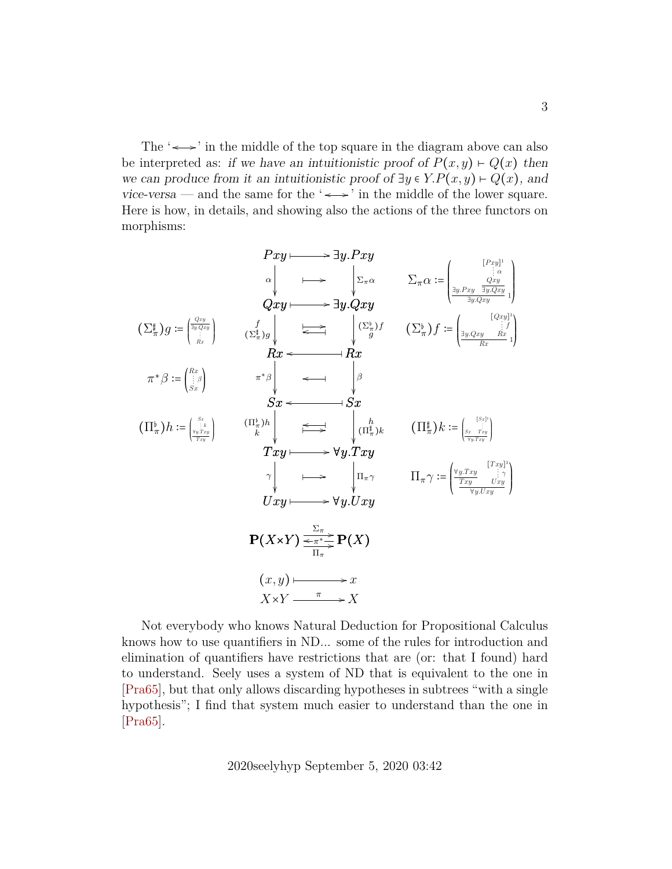The  $\leftrightarrow$  in the middle of the top square in the diagram above can also be interpreted as: if we have an intuitionistic proof of  $P(x, y) \vdash Q(x)$  then we can produce from it an intuitionistic proof of  $\exists y \in Y.P(x,y) \vdash Q(x)$ , and vice-versa — and the same for the ' $\leftrightarrow$ ' in the middle of the lower square. Here is how, in details, and showing also the actions of the three functors on morphisms:

$$
Pxy \longmapsto \exists y.Pxy
$$
\n
$$
\alpha \downarrow \qquad \longmapsto \qquad \downarrow \sum_{\pi} \alpha \qquad \sum_{\pi} \alpha := \begin{pmatrix} [x_{xy}]^1 \\ \frac{\alpha}{2} & \frac{\alpha}{2} \\ \frac{\alpha}{2} & \frac{\alpha}{2} \\ \frac{\alpha}{2} & \frac{\alpha}{2} \\ \frac{\alpha}{2} & \frac{\alpha}{2} \\ \frac{\alpha}{2} \\ \frac{\alpha}{2} \\ \frac{\alpha}{2} \\ \frac{\alpha}{2} \\ \frac{\alpha}{2} \\ \frac{\alpha}{2} \\ \frac{\alpha}{2} \\ \frac{\alpha}{2} \\ \frac{\alpha}{2} \\ \frac{\alpha}{2} \\ \frac{\alpha}{2} \\ \frac{\alpha}{2} \\ \frac{\alpha}{2} \\ \frac{\alpha}{2} \\ \frac{\alpha}{2} \\ \frac{\alpha}{2} \\ \frac{\alpha}{2} \\ \frac{\alpha}{2} \\ \frac{\alpha}{2} \\ \frac{\alpha}{2} \\ \frac{\alpha}{2} \\ \frac{\alpha}{2} \\ \frac{\alpha}{2} \\ \frac{\alpha}{2} \\ \frac{\alpha}{2} \\ \frac{\alpha}{2} \\ \frac{\alpha}{2} \\ \frac{\alpha}{2} \\ \frac{\alpha}{2} \\ \frac{\alpha}{2} \\ \frac{\alpha}{2} \\ \frac{\alpha}{2} \\ \frac{\alpha}{2} \\ \frac{\alpha}{2} \\ \frac{\alpha}{2} \\ \frac{\alpha}{2} \\ \frac{\alpha}{2} \\ \frac{\alpha}{2} \\ \frac{\alpha}{2} \\ \frac{\alpha}{2} \\ \frac{\alpha}{2} \\ \frac{\alpha}{2} \\ \frac{\alpha}{2} \\ \frac{\alpha}{2} \\ \frac{\alpha}{2} \\ \frac{\alpha}{2} \\ \frac{\alpha}{2} \\ \frac{\alpha}{2} \\ \frac{\alpha}{2} \\ \frac{\alpha}{2} \\ \frac{\alpha}{2} \\ \frac{\alpha}{2} \\ \frac{\alpha}{2} \\ \frac{\alpha}{2} \\ \frac{\alpha}{2} \\ \frac{\alpha}{2} \\ \frac{\alpha}{2} \\ \frac{\alpha}{2} \\ \frac{\alpha}{2} \\ \frac{\alpha}{2} \\ \frac{\alpha}{2} \\ \frac{\alpha}{2} \\ \frac{\alpha}{2} \\ \frac{\alpha}{2} \\ \frac{\alpha}{2} \\ \frac{\alpha}{2} \\ \frac{\alpha}{2} \\ \frac{\alpha}{2} \\ \frac{\alpha}{2} \\ \frac{\alpha}{2} \\ \frac{\alpha}{2} \\ \frac{\alpha}{2} \\ \frac{\alpha}{2} \\ \frac{\alpha}{2} \\ \frac{\alpha}{2} \\ \frac{\alpha}{2} \\ \frac{\alpha}{2} \\ \frac{\alpha}{2}
$$

Not everybody who knows Natural Deduction for Propositional Calculus knows how to use quantifiers in ND... some of the rules for introduction and elimination of quantifiers have restrictions that are (or: that I found) hard to understand. Seely uses a system of ND that is equivalent to the one in [\[Pra65\]](#page-21-4), but that only allows discarding hypotheses in subtrees "with a single hypothesis"; I find that system much easier to understand than the one in [\[Pra65\]](#page-21-4).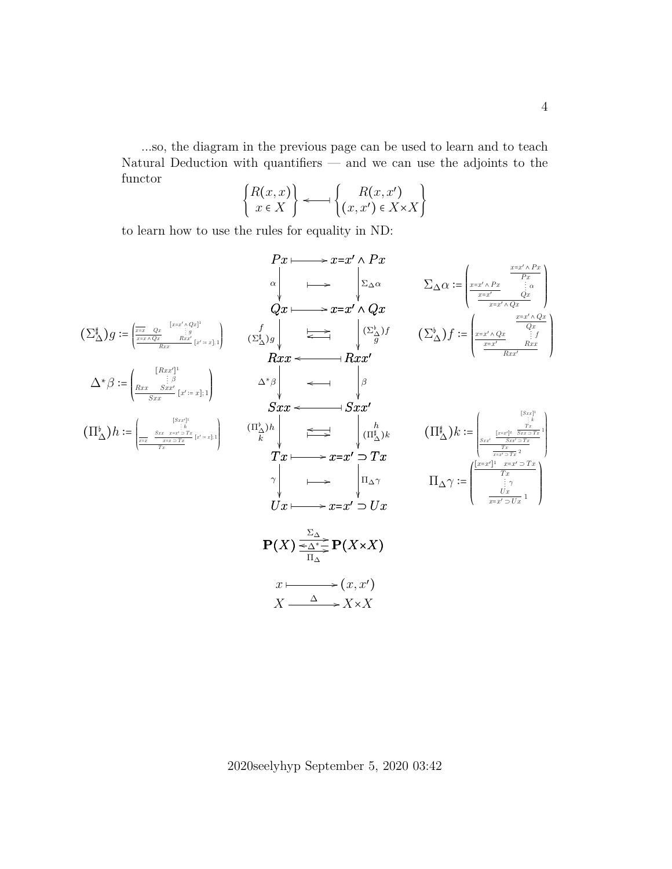...so, the diagram in the previous page can be used to learn and to teach Natural Deduction with quantifiers — and we can use the adjoints to the functor  $\epsilon$  $\Delta$ 

$$
\begin{Bmatrix} R(x,x) \\ x \in X \end{Bmatrix} \longleftarrow \begin{Bmatrix} R(x,x') \\ (x,x') \in X \times X \end{Bmatrix}
$$

to learn how to use the rules for equality in ND:

$$
P x \longmapsto x = x' \wedge Px
$$
\n
$$
\alpha \downarrow \qquad \qquad \sum_{\Delta \alpha} \alpha = \begin{pmatrix} \frac{x - x' \wedge Px}{Px} \\ \frac{x - x' \wedge Qx}{dx} \end{pmatrix}
$$
\n
$$
\alpha \downarrow \qquad \qquad \sum_{\Delta \alpha} \alpha = \begin{pmatrix} \frac{x - x' \wedge Py}{Px} \\ \frac{x - x' \wedge Qx}{dx} \end{pmatrix}
$$
\n
$$
\alpha \downarrow \qquad \qquad \sum_{\Delta \alpha} \alpha = \begin{pmatrix} \frac{x - x' \wedge Py}{Px} \\ \frac{x - x' \wedge Qx}{dx} \end{pmatrix}
$$
\n
$$
\alpha \downarrow \qquad \qquad \sum_{\Delta \alpha} \alpha = \begin{pmatrix} \frac{x - x' \wedge Py}{Px} \\ \frac{x - x' \wedge Qx}{dx} \end{pmatrix}
$$
\n
$$
\alpha \downarrow \qquad \qquad \sum_{\Delta \alpha} \alpha = \begin{pmatrix} \frac{x - x' \wedge Qx}{Px} \\ \frac{x - x' \wedge Qx}{dx} \end{pmatrix}
$$
\n
$$
\alpha \downarrow \qquad \qquad \sum_{\Delta \alpha} \alpha = \begin{pmatrix} \frac{x - x' \wedge Py}{Px} \\ \frac{x - x' \wedge Qx}{dx} \end{pmatrix}
$$
\n
$$
\alpha \downarrow \qquad \qquad \sum_{\Delta \alpha} \alpha = \begin{pmatrix} \frac{x - x' \wedge Py}{Px} \\ \frac{x - x' \wedge Qx}{dx} \end{pmatrix}
$$
\n
$$
\alpha \downarrow \qquad \qquad \sum_{\Delta \alpha} \alpha = \begin{pmatrix} \frac{x - x' \wedge Py}{Px} \\ \frac{x - x' \wedge Qx}{dx} \end{pmatrix}
$$
\n
$$
\alpha \downarrow \qquad \qquad \sum_{\Delta \alpha} \alpha = \begin{pmatrix} \frac{x - x' \wedge Py}{Ax} \\ \frac{x - x' \wedge Qx}{dx} \end{pmatrix}
$$
\n
$$
\alpha \downarrow \qquad \qquad \sum_{\Delta \alpha} \alpha = \begin{pmatrix} \frac{x - x' \wedge Py}{Ax} \\ \frac{x - x' \wedge Qx}{dx} \end{pmatrix}
$$
\n
$$
\alpha \downarrow \qquad \qquad \sum_{\Delta \alpha} \alpha = \begin{pmatrix} \frac{x - x' \
$$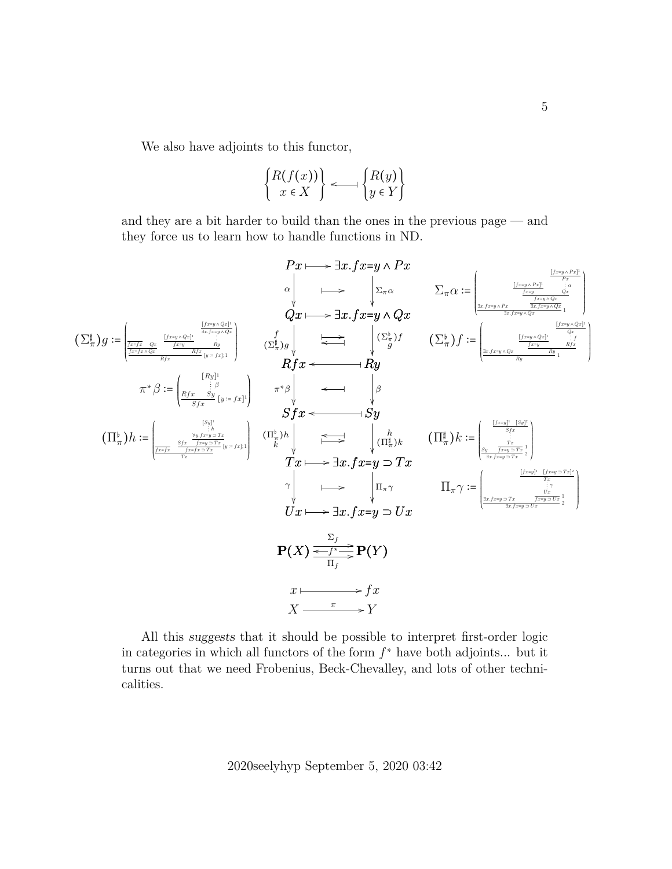We also have adjoints to this functor,

$$
\begin{Bmatrix} R(f(x)) \\ x \in X \end{Bmatrix} \longleftarrow \begin{Bmatrix} R(y) \\ y \in Y \end{Bmatrix}
$$

and they are a bit harder to build than the ones in the previous page — and they force us to learn how to handle functions in ND.

$$
\begin{array}{ccc}\nPx \longmapsto \exists x . f x = y \land Px \\
& \longleftarrow \sum_{\pi \alpha} & \sum_{\pi \alpha} \frac{[f_{x+y \land P_x^1}]}{f_{x,y \land P_x^1}} \frac{[f_{x+y \land P_x^1}]}{f_{x,y \land P_x^1}}}{[f_{x,y \land P_x^1}]} \right) \\
& Qx \longmapsto \exists x . f x = y \land Qx \\
& \longleftarrow \sum_{\pi \alpha} \frac{[f_{x+y \land Q_x^1}]}{f_{x,y \land P_x^1}} \frac{[f_{x+y \land Q_x^1}]}{f_{x,y \land P_x^1}} \frac{[f_{x+y \land Q_x^1}]}{f_{x,y \land P_x^1}}}{[f_{x,y \land Q_x^1}]} \right) \\
& \pi^* \beta := \left(\frac{[f_{x,y \land Q_x^1}]}{f_{x,y \land Q_x^1}} \frac{[f_{x,y \land Q_x^1}]}{f_{x,y \land Q_x^1}} \frac{[f_{x,y \land Q_x^1}]}{f_{x,y \land Q_x^1}} \frac{[f_{x,y \land Q_x^1}]}{f_{x,y \land Q_x^1}}\right) \\
& \pi^* \beta := \left(\frac{[f_{x,y \land Q_x^1}]}{f_{x,y \land Q_x^1}} \frac{[f_{x,y \land Q_x^1}]}{f_{x,y \land Q_x^1}} \frac{[f_{x,y \land Q_x^1}]}{f_{x,y \land Q_x^1}} \frac{[f_{x,y \land Q_x^1}]}{f_{x,y \land Q_x^1}}\right) \\
& \pi^* \beta := \left(\frac{[f_{x,y \land Q_x^1}]}{f_{x,y \land Q_x^1}} \frac{[f_{x,y \land Q_x^1}]}{f_{x,y \land Q_x^1}} \frac{[f_{x,y \land Q_x^1}]}{f_{x,y \land Q_x^1}} \frac{[f_{x,y \land Q_x^1}]}{f_{x,y \land Q_x^1}}\right) \\
& \pi^* \beta := \left(\frac{[f_{x,y \land Q_x^1}]}{f_{x,y \land Q_x^1}} \frac{[f_{x,y \land Q_x^1}]}{f_{x,y \land Q_x^1}} \frac{[f_{x,y \land Q_x^1}]}{f_{x,y \land Q_x^1}} \frac{[f_{x,y \land Q_x^1}]}{f_{x,y \land Q_x^1}}\right) \\
$$

All this suggests that it should be possible to interpret first-order logic in categories in which all functors of the form  $f^*$  have both adjoints... but it turns out that we need Frobenius, Beck-Chevalley, and lots of other technicalities.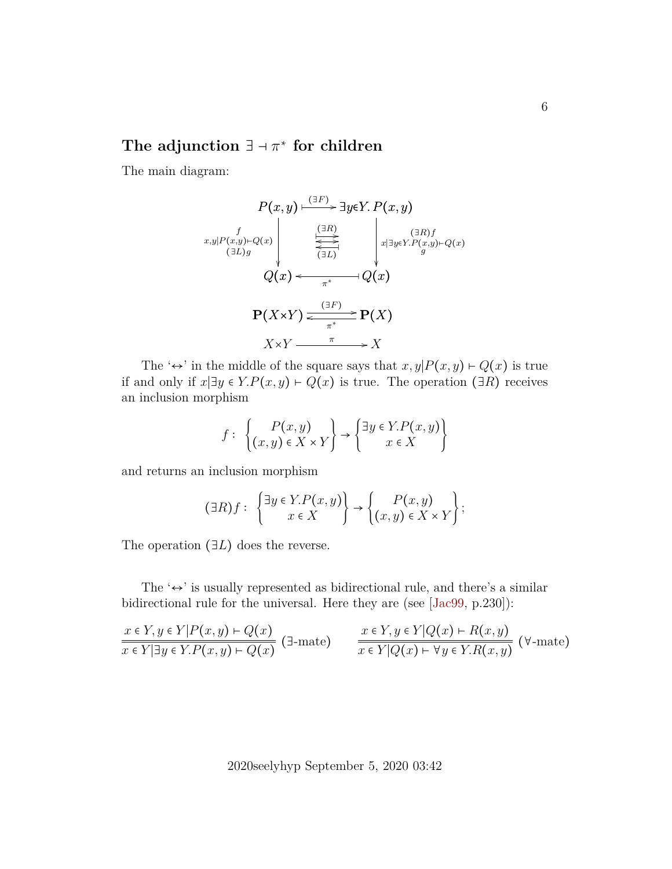# **The adjunction** ∃ ⊣ π ∗ **for children**

The main diagram:

$$
P(x,y) \xrightarrow{(\exists F)} \exists y \in Y. P(x,y)
$$
\n
$$
x,y|P(x,y)\to Q(x)
$$
\n
$$
Q(x) \xleftarrow{\text{var}(F)} Q(x)
$$
\n
$$
Q(x) \xleftarrow{\text{var}(F)} Q(x)
$$
\n
$$
P(X \times Y) \xleftarrow{\text{var}(F)} Q(X)
$$
\n
$$
X \times Y \xrightarrow{\text{var}(F)} X
$$

The ' $\leftrightarrow$ ' in the middle of the square says that  $x, y|P(x, y) \vdash Q(x)$  is true if and only if  $x\vert \exists y \in Y.P(x,y) \vdash Q(x)$  is true. The operation ( $\exists R$ ) receives an inclusion morphism

$$
f: \begin{Bmatrix} P(x,y) \\ (x,y) \in X \times Y \end{Bmatrix} \to \begin{Bmatrix} \exists y \in Y.P(x,y) \\ x \in X \end{Bmatrix}
$$

and returns an inclusion morphism

$$
(\exists R)f: \begin{Bmatrix} \exists y \in Y.P(x,y) \\ x \in X \end{Bmatrix} \rightarrow \begin{Bmatrix} P(x,y) \\ (x,y) \in X \times Y \end{Bmatrix};
$$

The operation  $(∃L)$  does the reverse.

The ' $leftrightarrow$ ' is usually represented as bidirectional rule, and there's a similar bidirectional rule for the universal. Here they are (see [\[Jac99,](#page-21-3) p.230]):

$$
\frac{x \in Y, y \in Y|P(x, y) \vdash Q(x)}{x \in Y|\exists y \in Y.P(x, y) \vdash Q(x)} \quad \exists \text{mate} \quad \frac{x \in Y, y \in Y|Q(x) \vdash R(x, y)}{x \in Y|Q(x) \vdash \forall y \in Y.R(x, y)} \quad (\forall \text{-mate})
$$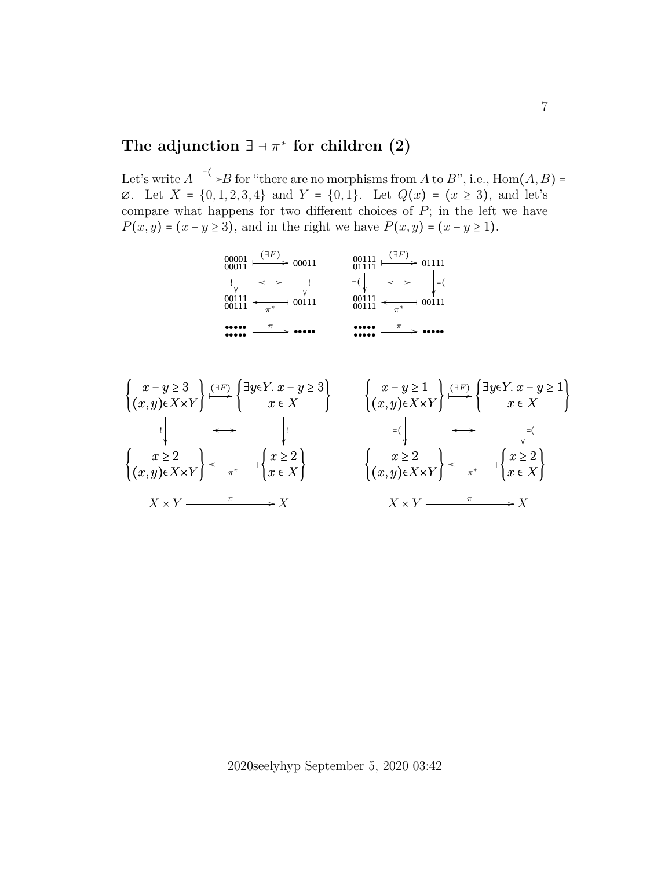# The adjunction  $\exists \neg \pi^*$  for children  $(2)$

Let's write  $A \longrightarrow B$  for "there are no morphisms from A to B", i.e., Hom $(A, B) =$  $\emptyset$ . Let  $X = \{0, 1, 2, 3, 4\}$  and  $Y = \{0, 1\}$ . Let  $Q(x) = (x \ge 3)$ , and let's compare what happens for two different choices of  $P$ ; in the left we have  $P(x, y) = (x - y \ge 3)$ , and in the right we have  $P(x, y) = (x - y \ge 1)$ .



$$
\begin{aligned}\n\left\{\n\begin{array}{c}\nx - y \ge 3 \\
(x, y) \in X \times Y\n\end{array}\n\right\} & \xrightarrow{\left(\n\begin{array}{c}\n\exists y \in Y. \ x - y \ge 3\n\end{array}\n\right)}\n\left\{\n\begin{array}{c}\nx - y \ge 1 \\
(x, y) \in X \times Y\n\end{array}\n\right\} & \xrightarrow{\left(\n\begin{array}{c}\n\exists x \in X\n\end{array}\n\right)}\n\left\{\n\begin{array}{c}\n\exists x \in Y. \ x - y \ge 1\n\end{array}\n\right\} \\
& \xrightarrow{\left(\n\begin{array}{c}\n\exists x \in X\n\end{array}\n\right)}\n\left\{\n\begin{array}{c}\n\exists x \in Y.\ x - y \ge 1\n\end{array}\n\right\} & \xrightarrow{\left(\n\begin{array}{c}\n\exists x \in X\n\end{array}\n\right)}\n\left\{\n\begin{array}{c}\n\exists x \in X\n\end{array}\n\right\} & \xrightarrow{\left(\n\begin{array}{c}\n\exists x \in X\n\end{array}\n\right)}\n\left\{\n\begin{array}{c}\n\exists x \in X\n\end{array}\n\right\} & \xrightarrow{\left(\n\exists x \in X\n\end{array}\n\right\} & \xrightarrow{\left(\n\exists x \in X\n\right)}\n\left\{\n\begin{array}{c}\n\exists x \in X\n\end{array}\n\right\} & \xrightarrow{\left(\n\exists x \in X\n\right)}\n\left\{\n\begin{array}{c}\n\exists x \in X\n\end{array}\n\right\} & \xrightarrow{\left(\n\exists x \in X\n\right)}\n\left\{\n\begin{array}{c}\n\exists x \in X\n\end{array}\n\right\} & \xrightarrow{\left(\n\exists x \in X\n\right)}\n\left\{\n\begin{array}{c}\n\exists x \in X\n\end{array}\n\right\} & \xrightarrow{\left(\n\exists x \in X\n\right)}\n\left\{\n\begin{array}{c}\n\exists x \in X\n\end{array}\n\right\} & \xrightarrow{\left(\n\exists x \in X\n\right)}\n\left\{\n\begin{array}{c}\n\exists x \in X\n\end{array}\n\right\} & \xrightarrow{\
$$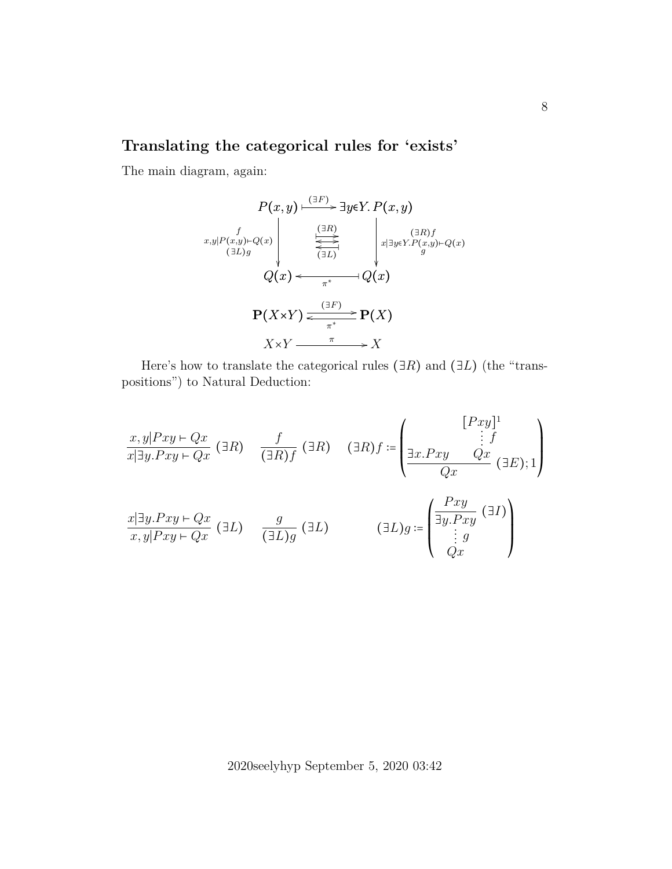## **Translating the categorical rules for 'exists'**

The main diagram, again:

$$
P(x,y) \xrightarrow{\text{(3F)}} \exists y \in Y. P(x,y)
$$
\n
$$
x,y|P(x,y)\mapsto Q(x) \qquad \xleftarrow{\text{(3R)}} \qquad x \exists y \in Y. P(x,y) \mapsto Q(x)
$$
\n
$$
Q(x) \xleftarrow{\text{(3L)}} Q(x)
$$
\n
$$
P(X \times Y) \xleftarrow{\text{(3F)}} P(X)
$$
\n
$$
X \times Y \xrightarrow{\pi} X
$$

Here's how to translate the categorical rules ( $\exists R$ ) and ( $\exists L$ ) (the "transpositions") to Natural Deduction:

$$
\frac{x, y|Pxy \vdash Qx}{x|\exists y.Pxy \vdash Qx} \quad (\exists R) \quad \frac{f}{(\exists R)f} \quad (\exists R) \quad (\exists R)f \coloneqq \begin{pmatrix} [Pxy]^1 \\ \vdots f \\ \frac{1}{Qx} \cdot Pxy & Qx \\ \frac{Qx}{Qx} & (\exists E); 1 \end{pmatrix}
$$
\n
$$
\frac{x|\exists y.Pxy \vdash Qx}{x, y|Pxy \vdash Qx} \quad (\exists L) \quad \frac{g}{(\exists L)g} \quad (\exists L) \quad (\exists L)g \coloneqq \begin{pmatrix} \frac{Pxy}{\exists y.Pxy} & (\exists I) \\ \vdots g \\ \frac{Qx}{Qx} & \frac{Qx}{Qx} \end{pmatrix}
$$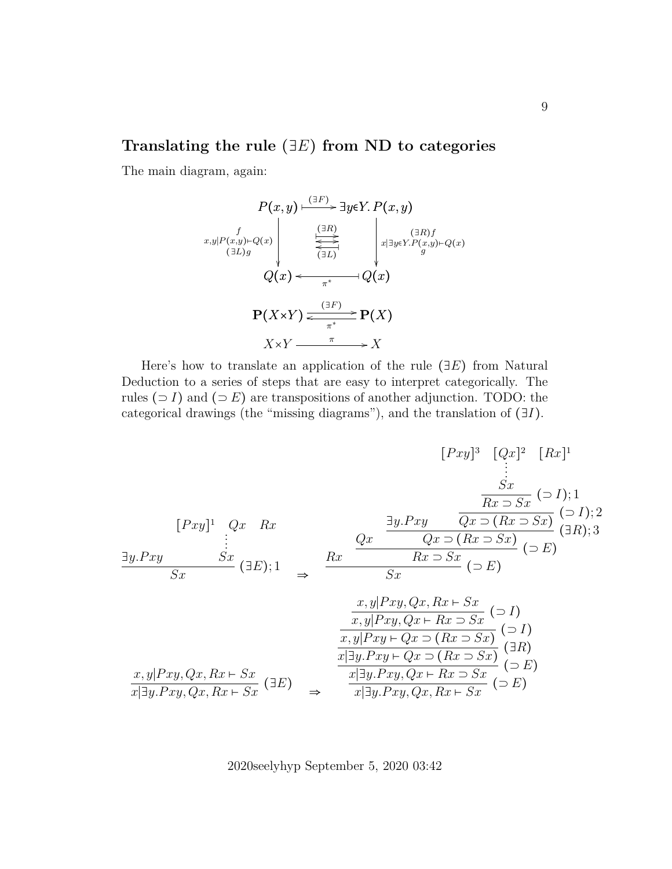#### **Translating the rule** (∃E) **from ND to categories**

The main diagram, again:

$$
P(x,y) \xrightarrow{\text{(3F)}} \exists y \in Y. P(x,y)
$$
\n
$$
x,y|P(x,y)\longleft\{\xrightarrow{\text{(3R)}} \begin{array}{c}\text{(3R)}\\ \overleftrightarrow{\text{(3L)}}\\ \text{(3L)} \end{array}\right\} \xrightarrow{\text{(3R)}\\ \text{(3R)}\\ x|\exists y \in Y. P(x,y)\mapsto Q(x)}\\ Q(x) \xleftarrow{\pi^*} Q(x)
$$
\n
$$
P(X \times Y) \xleftarrow{\text{(3F)}} P(X)
$$
\n
$$
X \times Y \xrightarrow{\pi} X
$$

Here's how to translate an application of the rule  $(\exists E)$  from Natural Deduction to a series of steps that are easy to interpret categorically. The rules ( $\supset I$ ) and ( $\supset E$ ) are transpositions of another adjunction. TODO: the categorical drawings (the "missing diagrams"), and the translation of (∃I).

$$
[Pxy]^{3} \quad [Qx]^{2} \quad [Rx]^{1}
$$
\n
$$
\vdots
$$
\n
$$
[Pxy]^{1} \quad Qx \quad Rx
$$
\n
$$
\vdots
$$
\n
$$
[Pxy]^{1} \quad Qx \quad Rx
$$
\n
$$
\vdots
$$
\n
$$
[2x]^{2} \quad Qx \quad \frac{Sx}{Rx \cdot Sx} \quad (51); 1
$$
\n
$$
\frac{Sx}{Rx \cdot Sx} \quad (51); 2
$$
\n
$$
\frac{Sx}{Sx} \quad (3E); 1 \quad \Rightarrow \quad \frac{Rx}{Sx} \quad \frac{Qx \quad (Rx \cdot Sx)}{Rx \cdot Sx} \quad (5E)
$$
\n
$$
\frac{x,y|Pxy, Qx, Rx \cdot Sx}{x,y|Pxy, Qx \cdot Rx \cdot Sx} \quad (51)
$$
\n
$$
\frac{x,y|Pxy \cdot Qx \cdot (Rx \cdot Sx)}{x|3y.Pxy \cdot Qx \cdot (Rx \cdot Sx)} \quad (5E)
$$
\n
$$
\frac{x,y|Pxy \cdot Qx \cdot (Rx \cdot Sx)}{x|3y.Pxy, Qx \cdot Rx \cdot Sx} \quad (5E)
$$
\n
$$
\frac{x|3y.Pxy, Qx \cdot Rx \cdot Sx}{x|3y.Pxy, Qx, Rx \cdot Sx} \quad (5E)
$$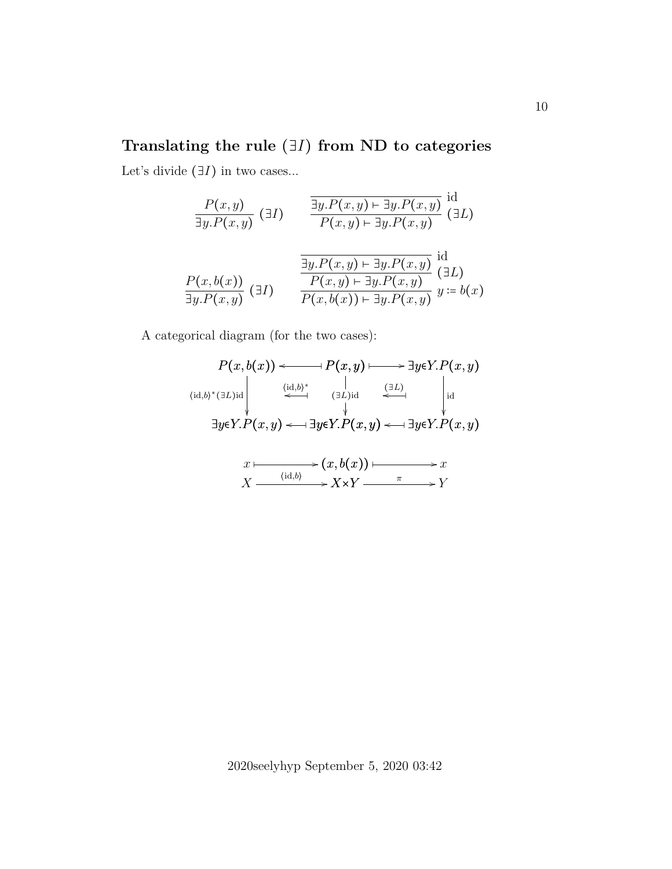# **Translating the rule** (∃I) **from ND to categories**

Let's divide  $(∃I)$  in two cases...

$$
\frac{P(x,y)}{\exists y.P(x,y)} \quad (\exists I) \qquad \frac{\overline{\exists y.P(x,y) \vdash \exists y.P(x,y)}}{P(x,y) \vdash \exists y.P(x,y)} \quad (\exists L)
$$
\n
$$
\frac{\overline{\exists y.P(x,y) \vdash \exists y.P(x,y)}}{\overline{\exists y.P(x,y) \vdash \exists y.P(x,y)}} \quad \text{id}
$$
\n
$$
\frac{P(x,b(x))}{\overline{\exists y.P(x,y)}} \quad (\exists I)
$$
\n
$$
\frac{P(x,b(x))}{P(x,b(x)) \vdash \exists y.P(x,y)} \quad y := b(x)
$$

A categorical diagram (for the two cases):

$$
P(x, b(x)) \longleftrightarrow P(x, y) \longrightarrow \exists y \in Y. P(x, y)
$$
\n
$$
\begin{array}{ccc}\n\langle id, b \rangle^* (\exists L) \text{id} & \downarrow & \downarrow \\
\downarrow & \downarrow & \downarrow & \downarrow \\
\exists y \in Y. P(x, y) \longleftrightarrow \exists y \in Y. P(x, y) \longleftrightarrow \exists y \in Y. P(x, y)\n\end{array}
$$
\n
$$
x \longmapsto (x, b(x)) \longmapsto x
$$
\n
$$
X \longrightarrow \begin{array}{ccc}\n\langle id, b \rangle & \downarrow & \downarrow \\
\downarrow & \downarrow & \downarrow \\
\downarrow & \downarrow & \downarrow \\
\exists y \in Y. P(x, y) \longleftrightarrow \exists y \in Y. P(x, y)\n\end{array}
$$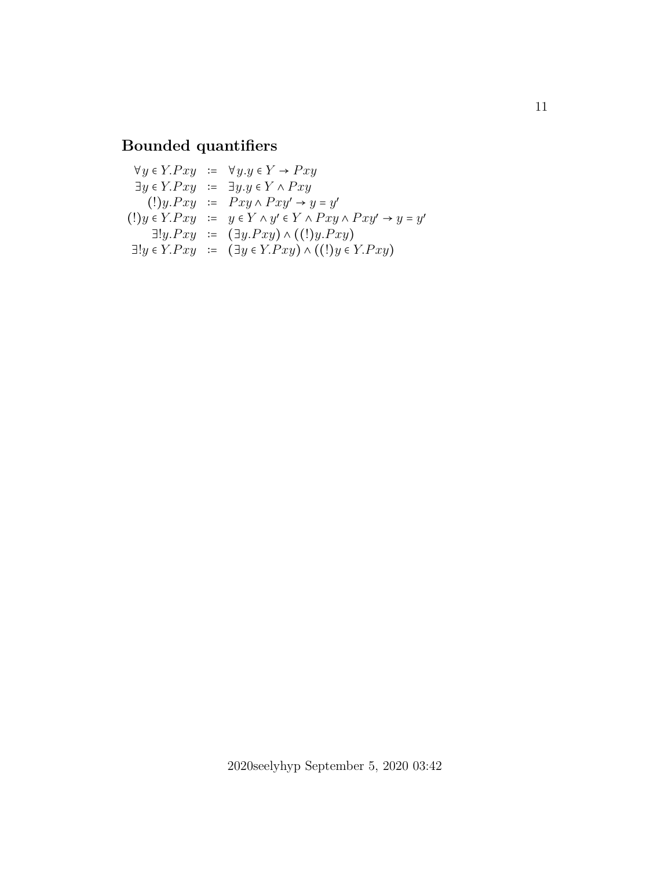#### **Bounded quantifiers**

 $\forall y \in Y.Pxy \Leftrightarrow \forall y. y \in Y \rightarrow Pxy$  $\exists y \in Y.Pxy \ \coloneqq \ \exists y. y \in Y \wedge Pxy$  $(!)y.Pxy := Pxy \wedge Pxy' \rightarrow y=y'$ (!)  $y \in Y.Pxy := y \in Y \wedge y' \in Y \wedge Pxy \wedge Pxy' \rightarrow y = y'$  $\exists !y.Pxy := (\exists y.Pxy) \land ((!)y.Pxy)$  $\exists! y \in Y.Pxy := (\exists y \in Y.Pxy) \wedge ((!)y \in Y.Pxy)$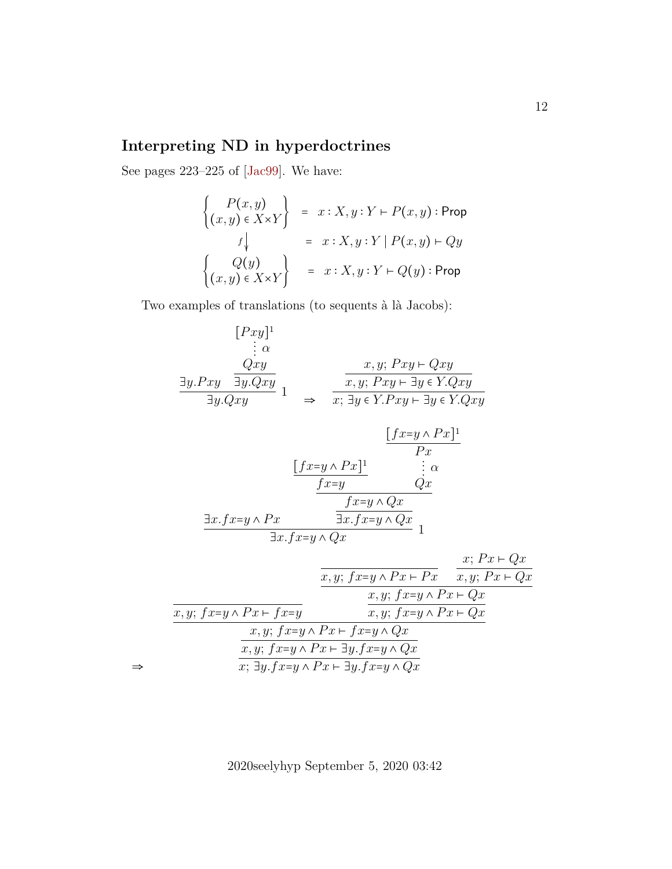## **Interpreting ND in hyperdoctrines**

See pages 223–225 of [\[Jac99\]](#page-21-3). We have:

⇒

$$
\begin{cases}\nP(x,y) \\
(x,y) \in X \times Y\n\end{cases} = x : X, y : Y \vdash P(x,y) : \text{Prop}
$$
\n
$$
f \downarrow \qquad = x : X, y : Y \mid P(x,y) \vdash Qy
$$
\n
$$
\begin{cases}\nQ(y) \\
(x,y) \in X \times Y\n\end{cases} = x : X, y : Y \vdash Q(y) : \text{Prop}
$$

Two examples of translations (to sequents à là Jacobs):

$$
[Pxy]^{1}
$$
\n
$$
\vdots \alpha
$$
\n
$$
\frac{Qxy}{\exists y.Pxy} \frac{1}{\exists y.Qxy} \quad 1 \quad \Rightarrow \quad \frac{x,y; Pxy \vdash Qxy}{x; \exists y \in Y.Pxy \vdash \exists y \in Y.Qxy}
$$
\n
$$
\frac{[fx=y \land Px]^{1}}{x; \exists y \in Y.Pxy \vdash \exists y \in Y.Qxy}
$$
\n
$$
\frac{[fx=y \land Px]^{1}}{Px} \quad \frac{[fx=y \land Px]^{1}}{Px}
$$
\n
$$
\frac{f x=y \land Qx}{\exists x.fx=y \land Qx} \quad \frac{f x=y \land Qx}{\exists x.fx=y \land Qx} \quad 1
$$
\n
$$
\frac{x,y; f x=y \land P x \vdash Px}{x,y; f x=y \land Px \vdash Px} \quad \frac{x; Px \vdash Qx}{x,y; f x=y \land Px \vdash Qx}
$$
\n
$$
\frac{x,y; f x=y \land Px \vdash f x=y \land Qx}{x,y; f x=y \land Px \vdash \exists y.fx=y \land Qx}
$$
\n
$$
\frac{x,y; f x=y \land Px \vdash \exists y.fx=y \land Qx}{x; \exists y.fx=y \land Px \vdash \exists y.fx=y \land Qx}
$$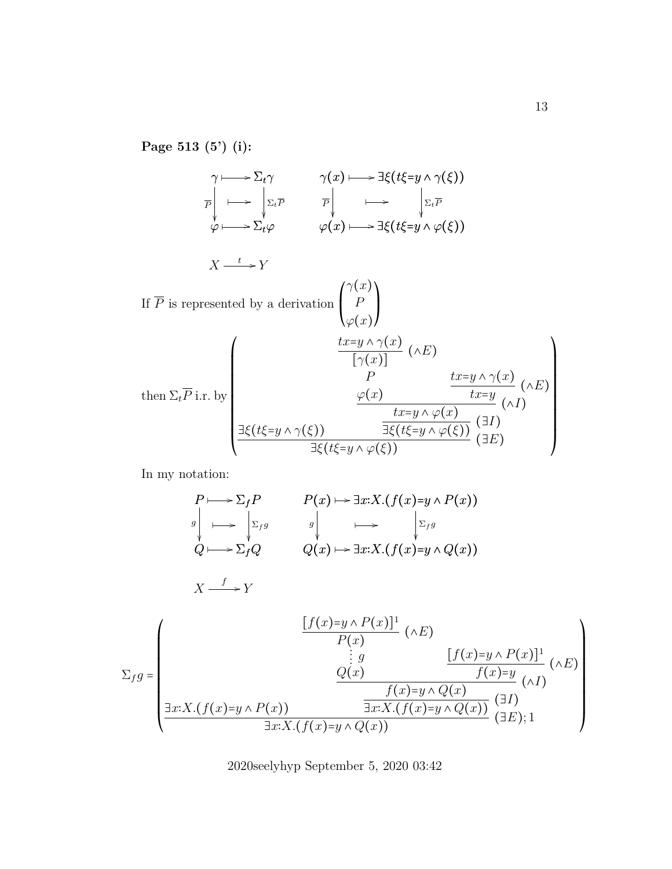**Page 513 (5') (i):**

 $\gamma \longmapsto \Sigma_t \gamma$ φ P ŗ  $\Sigma_t\varphi$  $\longrightarrow$   $\Sigma_t \overline{P}$ ľ  $\longmapsto$  $\gamma(x) \longmapsto \exists \xi (t \xi = y \wedge \gamma(\xi))$  $\varphi(x)$ P ľ  $\exists \xi(t\xi= y \wedge \varphi(\xi))$  $\longrightarrow$   $\boxed{\Sigma_t \overline{P}}$ ľ  $\longmapsto \exists \xi(t\xi = y \land \varphi(\xi))$  $X \xrightarrow{t} Y$ If  $P$  is represented by a derivation  $\overline{I}$  $\mathsf{I}$ ⎝  $\gamma(x)$ P  $\varphi(x)$  $\lambda$  $\mathbf{l}$  $\overline{J}$ then  $\Sigma_t P$  i.r. by  $\overline{I}$ ⎜ ⎜ ⎜ ⎜ ⎜ ⎜ ⎜ ⎜ ⎜ ⎜ ⎜ ⎜ ⎝  $\exists \xi(t\xi=y \wedge \gamma(\xi))$  $tx=y \wedge \gamma(x)$  $\frac{g \wedge \cdots \wedge (x)}{[\gamma(x)]} (\wedge E)$ P  $\varphi(x)$  $tx=y \wedge \gamma(x)$  $\frac{y \wedge \sqrt{\omega}}{tx=y} (\wedge E)$  $\frac{c}{tx}$  (^I)  $\left(\wedge I\right)$  $\frac{w}{\exists \xi(t\xi=y \wedge \varphi(\xi))}$  ( $\exists I$ )  $\frac{1}{\exists \xi(t\xi=y \wedge \varphi(\xi))}$  ( $\exists E$ )  $\lambda$  $\frac{1}{\sqrt{2\pi}}$  $\overline{J}$ 

In my notation:

$$
P \longmapsto \Sigma_f P \qquad P(x) \longmapsto \exists x: X. (f(x)=y \wedge P(x))
$$
  
\n
$$
g \downarrow \longrightarrow \Sigma_f g \qquad g \downarrow \longrightarrow \Sigma_f g
$$
  
\n
$$
Q \longmapsto \Sigma_f Q \qquad Q(x) \longmapsto \exists x: X. (f(x)=y \wedge Q(x))
$$

$$
X \xrightarrow{f} Y
$$

$$
\Sigma_{f}g = \begin{pmatrix}\n\underline{[f(x)=y \wedge P(x)]^1} & (\wedge E) \\
P(x) & (\wedge E) \\
\vdots g & \underbrace{[f(x)=y \wedge P(x)]^1} \\
Q(x) & f(x)=y & (\wedge I) \\
\hline\n\underline{Jx:X.(f(x)=y \wedge P(x))} & \xrightarrow{\exists x:X.(f(x)=y \wedge Q(x))} & (\exists I) \\
\hline\n\exists x:X.(f(x)=y \wedge Q(x)) & (\exists E); 1\n\end{pmatrix}
$$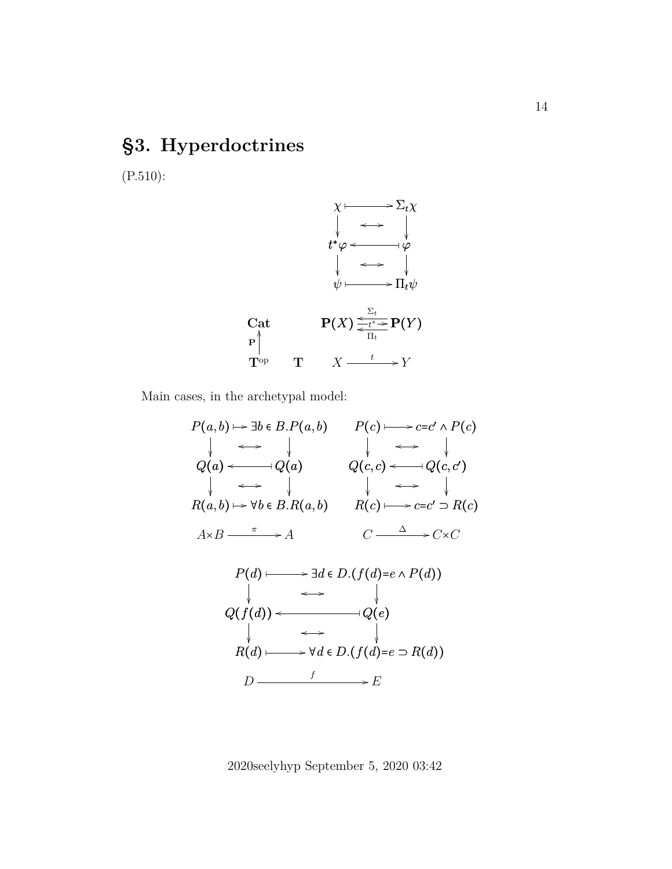# **§3. Hyperdoctrines**

(P.510):



Main cases, in the archetypal model:

$$
P(a,b) \mapsto \exists b \in B.P(a,b) \qquad P(c) \longmapsto c = c' \land P(c)
$$
\n
$$
\downarrow \iff \downarrow \qquad \downarrow \iff \downarrow
$$
\n
$$
Q(a) \iff Q(a) \qquad Q(c,c) \iff Q(c,c')
$$
\n
$$
\downarrow \iff \downarrow \qquad \downarrow \iff \downarrow
$$
\n
$$
R(a,b) \mapsto \forall b \in B.R(a,b) \qquad R(c) \longmapsto c = c' \supseteq R(c)
$$
\n
$$
A \times B \xrightarrow{\pi} A \qquad C \xrightarrow{\Delta} C \times C
$$
\n
$$
P(d) \longmapsto \exists d \in D.(f(d) = e \land P(d))
$$
\n
$$
\downarrow \iff \downarrow
$$
\n
$$
Q(f(d)) \iff \forall d \in D.(f(d) = e \supseteq R(d))
$$
\n
$$
D \xrightarrow{\qquad f} E
$$
\n
$$
E
$$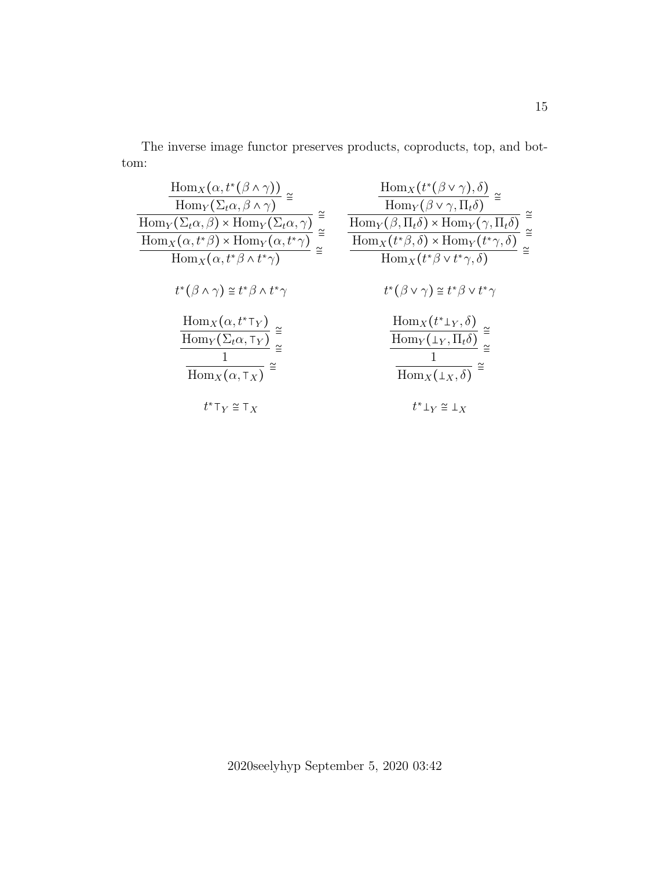The inverse image functor preserves products, coproducts, top, and bottom:

| $\frac{\operatorname{Hom}_X(\alpha, t^*(\beta \wedge \gamma))}{\operatorname{Hom}_Y(\Sigma_t \alpha, \beta \wedge \gamma)} \cong$                                                                                                                                                            | $\frac{\operatorname{Hom}_X(t^*(\beta \vee \gamma), \delta)}{\operatorname{Hom}_Y(\beta \vee \gamma, \Pi_t \delta)}$                                                                                                                                                                       |
|----------------------------------------------------------------------------------------------------------------------------------------------------------------------------------------------------------------------------------------------------------------------------------------------|--------------------------------------------------------------------------------------------------------------------------------------------------------------------------------------------------------------------------------------------------------------------------------------------|
|                                                                                                                                                                                                                                                                                              | $\cong$<br>$\frac{\text{Hom}_Y(\beta, \Pi_t \delta) \times \text{Hom}_Y(\gamma, \Pi_t \delta)}{\text{Hom}_X(t^*\beta, \delta) \times \text{Hom}_Y(t^*\gamma, \delta)}$<br>$\frac{\text{Hom}_X(t^*\beta \vee t^*\gamma, \delta)}{\text{Hom}_X(t^*\beta \vee t^*\gamma, \delta)}$<br>$\cong$ |
|                                                                                                                                                                                                                                                                                              |                                                                                                                                                                                                                                                                                            |
| $\frac{\text{Hom}_Y(\Sigma_t \alpha, \beta) \times \text{Hom}_Y(\Sigma_t \alpha, \gamma)}{\text{Hom}_X(\alpha, t^*\beta) \times \text{Hom}_Y(\alpha, t^*\gamma)} \overset{\cong}{=} \frac{\text{Hom}_X(\alpha, t^*\beta \wedge t^*\gamma)}{\text{Hom}_X(\alpha, t^*\beta \wedge t^*\gamma)}$ |                                                                                                                                                                                                                                                                                            |
| $t^*(\beta \wedge \gamma) \cong t^*\beta \wedge t^*\gamma$                                                                                                                                                                                                                                   | $t^*(\beta \vee \gamma) \cong t^*\beta \vee t^*\gamma$                                                                                                                                                                                                                                     |
| $\frac{\text{Hom}_X(\alpha, t^*\top_Y)}{\text{Hom}_Y(\Sigma_t\alpha, \top_Y)} \cong$<br>$\overline{\text{Hom}_X(\alpha, \tau_X)} \xrightarrow{\simeq}$                                                                                                                                       | $\frac{\mathrm{Hom}_X(t^*\bot_Y,\delta)}{\mathrm{Hom}_Y(\bot_Y,\Pi_t\delta)}\stackrel{\cong}{=}$<br>$\overline{\text{Hom}_X(\perp_X,\delta)}$                                                                                                                                              |
| $t^*$ T $_V \cong$ T $_X$                                                                                                                                                                                                                                                                    | $t^*\bot_V \cong \bot_V$                                                                                                                                                                                                                                                                   |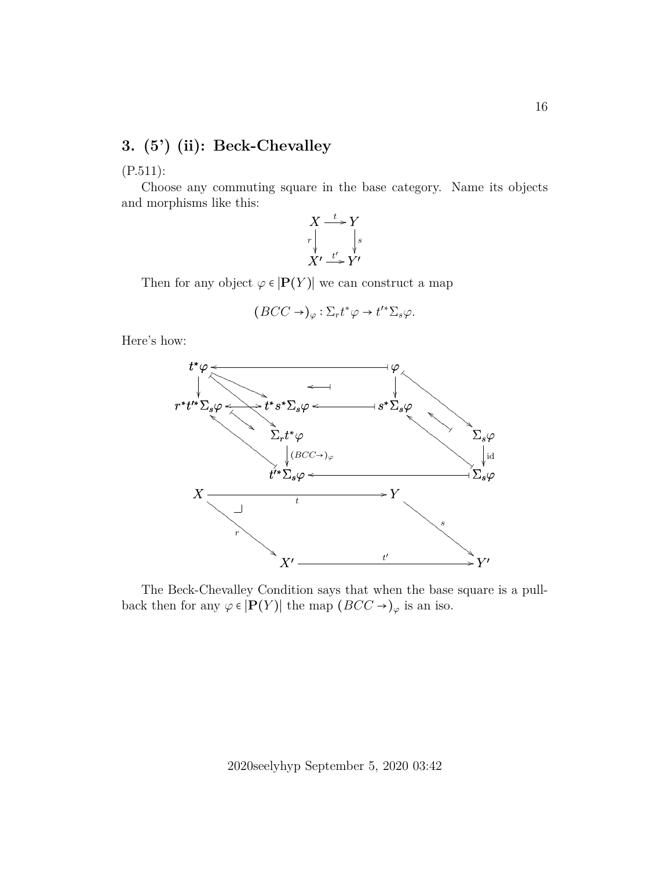### **3. (5') (ii): Beck-Chevalley**

(P.511):

Choose any commuting square in the base category. Name its objects and morphisms like this:



Then for any object  $\varphi \in |P(Y)|$  we can construct a map

$$
(BCC \rightarrow)_{\varphi} : \Sigma_r t^* \varphi \rightarrow t'^* \Sigma_s \varphi.
$$

Here's how:



The Beck-Chevalley Condition says that when the base square is a pullback then for any  $\varphi \in |{\bf P}(Y)|$  the map  $(BCC \to)_\varphi$  is an iso.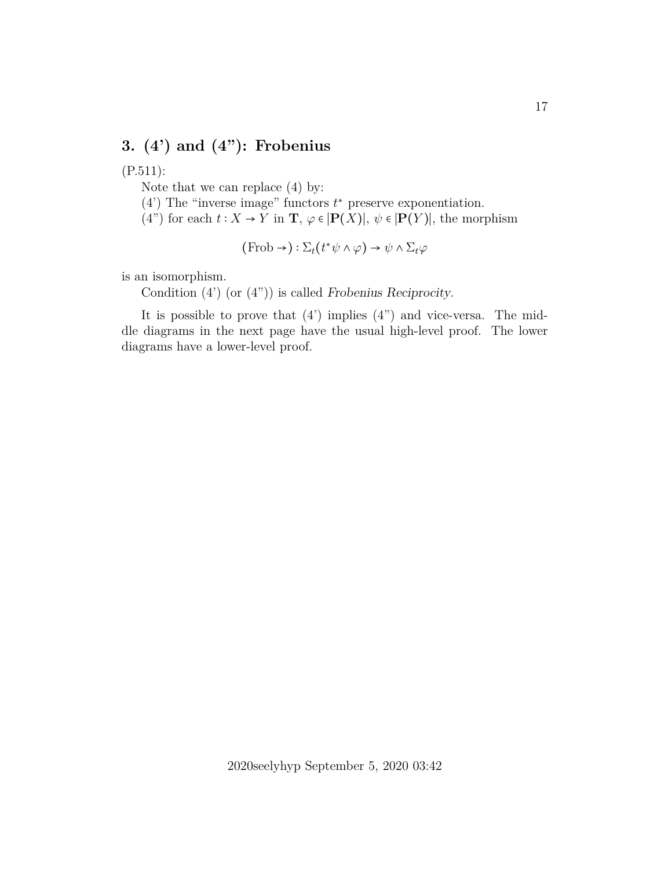## **3. (4') and (4"): Frobenius**

#### (P.511):

Note that we can replace (4) by:

 $(4')$  The "inverse image" functors  $t^*$  preserve exponentiation.

(4") for each  $t: X \to Y$  in  $\mathbf{T}, \varphi \in [\mathbf{P}(X)], \psi \in [\mathbf{P}(Y)],$  the morphism

$$
(\text{Frob} \rightarrow) : \Sigma_t(t^* \psi \land \varphi) \rightarrow \psi \land \Sigma_t \varphi
$$

is an isomorphism.

Condition  $(4')$  (or  $(4'')$ ) is called Frobenius Reciprocity.

It is possible to prove that  $(4')$  implies  $(4'')$  and vice-versa. The middle diagrams in the next page have the usual high-level proof. The lower diagrams have a lower-level proof.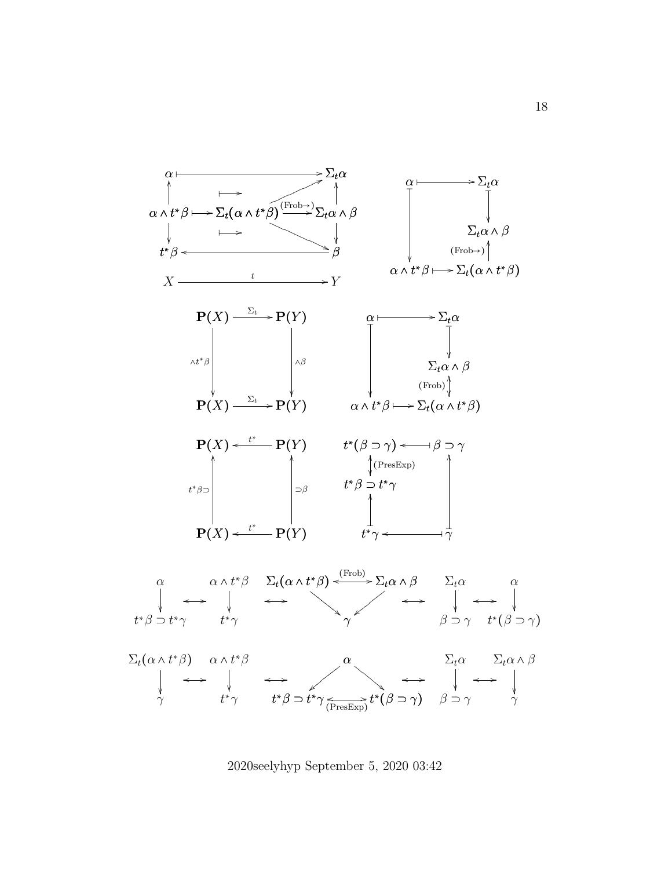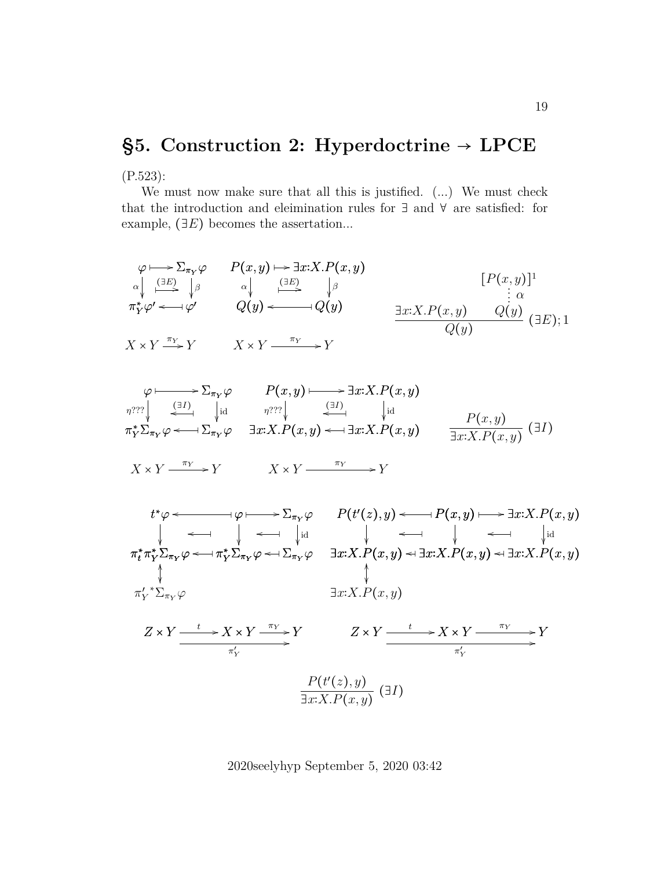# **§5. Construction 2: Hyperdoctrine** → **LPCE**

(P.523):

We must now make sure that all this is justified. (...) We must check that the introduction and eleimination rules for ∃ and ∀ are satisfied: for example,  $(\exists E)$  becomes the assertation...

$$
\varphi \mapsto \sum_{\substack{\pi_Y \varphi \\ \pi_Y^* \varphi' \longleftarrow \varphi'}} P(x, y) \mapsto \exists x : X. P(x, y) \qquad [P(x, y)]^1
$$
\n
$$
\varphi \mapsto \sum_{\substack{\pi_Y \varphi' \\ \pi_Y^* \varphi' \longleftarrow \varphi'}} P(x, y) \mapsto \exists x : X. P(x, y) \qquad [P(x, y)]^1
$$
\n
$$
\varphi \mapsto \varphi' \qquad Q(y) \longleftarrow Q(y) \qquad \exists x : X. P(x, y) \qquad Q(y) \qquad \exists x : X. P(x, y) \qquad Q(y) \qquad \exists x : X. P(x, y) \qquad Q(y) \qquad \exists x : X. P(x, y) \qquad Q(y) \qquad \exists x : X. P(x, y) \qquad Q(y) \qquad \exists x : X. P(x, y) \qquad Q(y) \qquad \exists x : X. P(x, y) \qquad Q(y) \qquad \exists x : X. P(x, y) \qquad Q(y) \qquad \exists x : X. P(x, y) \qquad Q(y) \qquad \exists x : X. P(x, y) \qquad Q(y) \qquad \exists x : X. P(x, y) \qquad Q(y) \qquad \exists x : X. P(x, y) \qquad Q(y) \qquad \exists x : X. P(x, y) \qquad Q(y) \qquad \exists x : X. P(x, y) \qquad Q(y) \qquad \exists x : X. P(x, y) \qquad Q(y) \qquad \exists x : X. P(x, y) \qquad Q(y) \qquad \exists x : X. P(x, y) \qquad Q(y) \qquad \exists x : X. P(x, y) \qquad Q(y) \qquad \exists x : X. P(x, y) \qquad Q(y) \qquad \exists x : X. P(x, y) \qquad Q(y) \qquad \exists x : X. P(x, y) \qquad Q(y) \qquad \exists x : X. P(x, y) \qquad Q(y) \qquad \exists x : X. P(x, y) \qquad Q(y) \qquad \exists x : X. P(x, y) \qquad Q(y) \qquad \exists x : X. P(x, y) \qquad Q(y) \qquad \exists x : X. P(x, y) \qquad Q(y) \qquad \exists x : X. P(x, y) \qquad Q(y) \qquad \exists x : X. P(x, y) \qquad Q(y) \qquad \exists x : X. P(x, y) \qquad Q(y) \qquad \exists x
$$

$$
\varphi \longmapsto \sum_{\pi_Y} \varphi \qquad P(x, y) \longmapsto \exists x: X. P(x, y)
$$
\n
$$
\eta^{???} \downarrow \qquad \qquad \downarrow id \qquad \eta^{???} \downarrow \qquad \qquad \downarrow id \qquad \qquad \downarrow id
$$
\n
$$
\pi_Y^* \Sigma_{\pi_Y} \varphi \longleftarrow \neg \Sigma_{\pi_Y} \varphi \qquad \exists x: X. P(x, y) \longleftarrow \exists x: X. P(x, y) \qquad \qquad \frac{P(x, y)}{\exists x: X. P(x, y)} \quad (\exists I)
$$
\n
$$
X \times Y \xrightarrow{\pi_Y} Y \qquad \qquad X \times Y \xrightarrow{\pi_Y} Y
$$

$$
t^*\varphi \leftarrow \varphi \qquad P(t'(z), y) \leftarrow P(x, y) \qquad \exists x:X.P(x, y)
$$
\n
$$
\downarrow \qquad \downarrow \qquad \downarrow \qquad \downarrow \qquad \downarrow \qquad \downarrow \qquad \downarrow
$$
\n
$$
\pi_t^* \pi_Y^* \Sigma_{\pi_Y} \varphi \leftarrow \pi_Y^* \Sigma_{\pi_Y} \varphi \leftarrow \Sigma_{\pi_Y} \varphi \qquad \exists x:X.P(x, y) \leftrightarrow \exists x:X.P(x, y) \leftrightarrow \exists x:X.P(x, y)
$$
\n
$$
\downarrow \qquad \qquad \downarrow
$$
\n
$$
\pi_Y'^* \Sigma_{\pi_Y} \varphi \qquad \qquad \exists x:X.P(x, y) \leftrightarrow \exists x:X.P(x, y) \leftrightarrow \exists x:X.P(x, y)
$$
\n
$$
\exists x:X.P(x, y)
$$
\n
$$
Z \times Y \xrightarrow{\qquad t} X \times Y \xrightarrow{\pi_Y} Y \qquad Z \times Y \xrightarrow{\qquad t} X \times Y \xrightarrow{\pi_Y} Y
$$
\n
$$
\xrightarrow{\pi_Y'} \qquad \qquad \uparrow
$$
\n
$$
\xrightarrow{\pi_Y'} \qquad \qquad \uparrow
$$
\n
$$
\xrightarrow{\pi_Y'} \qquad \qquad \downarrow
$$
\n
$$
\xrightarrow{\pi_Y'} \qquad \qquad \downarrow
$$
\n
$$
\xrightarrow{\pi_Y'} \qquad \qquad \downarrow
$$
\n
$$
\xrightarrow{\pi_Y'} \qquad \qquad \downarrow
$$
\n
$$
\xrightarrow{\pi_Y'} \qquad \qquad \downarrow
$$
\n
$$
\xrightarrow{\pi_Y} \qquad \qquad \downarrow
$$
\n
$$
\xrightarrow{\pi_Y} \qquad \qquad \downarrow
$$
\n
$$
\xrightarrow{\pi_Y} \qquad \qquad \downarrow
$$
\n
$$
\xrightarrow{\pi_Y} \qquad \qquad \downarrow
$$
\n
$$
\xrightarrow{\pi_Y} \qquad \qquad \downarrow
$$
\n
$$
\xrightarrow{\pi_Y} \qquad \qquad \downarrow
$$
\n
$$
\xrightarrow{\pi_Y} \qquad \qquad \downarrow
$$
\n
$$
\xrightarrow{\pi_Y} \qquad \qquad \downarrow
$$
\n
$$
\xrightarrow{\pi_Y} \qquad \qquad \downarrow
$$
\n
$$
\xrightarrow{\pi_Y} \q
$$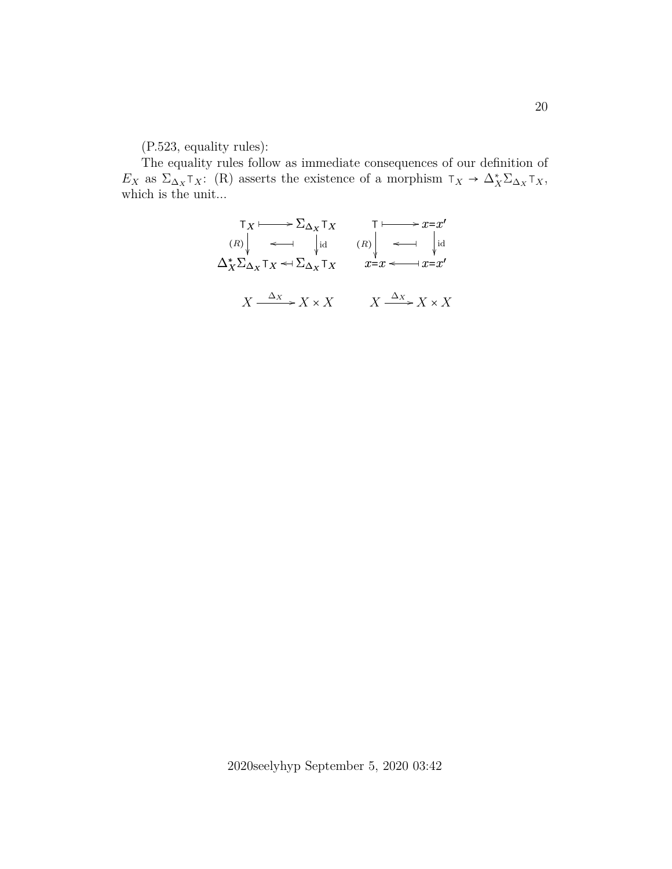(P.523, equality rules):

The equality rules follow as immediate consequences of our definition of  $E_X$  as  $\Sigma_{\Delta_X} \tau_X$ : (R) asserts the existence of a morphism  $\tau_X \to \Delta_X^* \Sigma_{\Delta_X} \tau_X$ , which is the unit...

$$
\begin{array}{ccc}\n\mathsf{T}_X & \longrightarrow \Sigma_{\Delta_X} \mathsf{T}_X & \mathsf{T} \longmapsto x = x' \\
\text{(R)} & \longleftrightarrow & \text{id} \\
\Delta_X^* \Sigma_{\Delta_X} \mathsf{T}_X & \longleftrightarrow & \Sigma_{\Delta_X} \mathsf{T}_X & x = x \longleftarrow & x = x' \\
X \xrightarrow{\Delta_X} X \times X & X \xrightarrow{\Delta_X} X \times X\n\end{array}
$$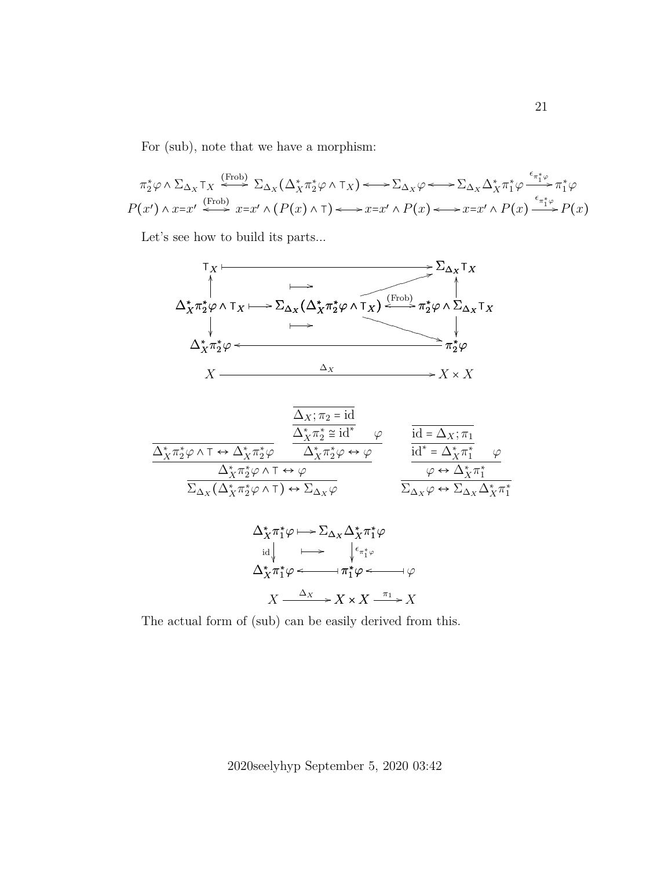For (sub), note that we have a morphism:

$$
\pi_2^* \varphi \wedge \Sigma_{\Delta_X} \tau_X \stackrel{\text{(Frob)}}{\iff} \Sigma_{\Delta_X} (\Delta_X^* \pi_2^* \varphi \wedge \tau_X) \longleftrightarrow \Sigma_{\Delta_X} \varphi \longleftrightarrow \Sigma_{\Delta_X} \Delta_X^* \pi_1^* \varphi \stackrel{\epsilon_{\pi_1^* \varphi}}{\longrightarrow} \pi_1^* \varphi
$$
  

$$
P(x') \wedge x = x' \stackrel{\text{(Frob)}}{\iff} x = x' \wedge (P(x) \wedge \tau) \longleftrightarrow x = x' \wedge P(x) \longleftrightarrow x = x' \wedge P(x) \stackrel{\epsilon_{\pi_1^* \varphi}}{\iff} P(x)
$$

Let's see how to build its parts...



$$
\frac{\Delta_X; \pi_2 = \mathrm{id}}{\frac{\Delta_X^* \pi_2^* \varphi \wedge \tau \leftrightarrow \Delta_X^* \pi_2^* \varphi}{\Delta_X^* \pi_2^* \varphi \wedge \tau \leftrightarrow \Delta_X^* \pi_2^* \varphi \leftrightarrow \varphi}} \qquad \frac{\frac{\Delta_X; \pi_2 = \mathrm{id}^*}{\Delta_X^* \pi_2^* \varphi \wedge \tau}}{\frac{\mathrm{id}^* = \Delta_X; \pi_1}{\mathrm{id}^* = \Delta_X^* \pi_1^*} \varphi}}{\frac{\mathrm{id}^* = \Delta_X^* \pi_1^* \qquad \varphi}{\varphi \leftrightarrow \Delta_X^* \pi_1^*}}{\frac{\Delta_X^* \pi_2^* \varphi \wedge \tau \leftrightarrow \varphi}{\Delta_X \varphi \leftrightarrow \Sigma_{\Delta_X} \Delta_X^* \pi_1^*}}
$$

$$
\Delta_X^* \pi_1^* \varphi \mapsto \Sigma_{\Delta_X} \Delta_X^* \pi_1^* \varphi
$$
\n
$$
\downarrow \qquad \qquad \downarrow \qquad \qquad \downarrow \qquad \qquad \downarrow \qquad \qquad \downarrow \qquad \downarrow
$$
\n
$$
\Delta_X^* \pi_1^* \varphi \longleftarrow \qquad \qquad \downarrow \pi_1^* \varphi \longleftarrow \qquad \qquad \downarrow \qquad \varphi
$$
\n
$$
X \xrightarrow{\Delta_X} X \times X \xrightarrow{\pi_1} X
$$

The actual form of (sub) can be easily derived from this.